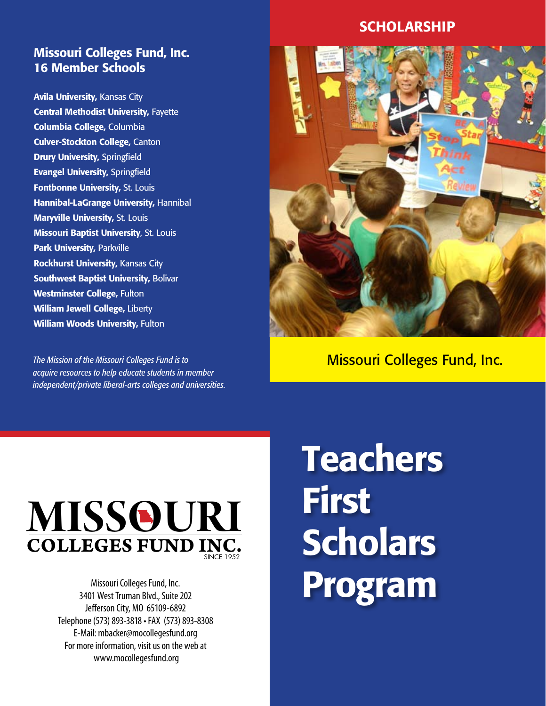## Missouri Colleges Fund, Inc. 16 Member Schools

Avila University, Kansas City Central Methodist University, Fayette Columbia College, Columbia Culver-Stockton College, Canton **Drury University, Springfield** Evangel University, Springfield Fontbonne University, St. Louis Hannibal-LaGrange University, Hannibal Maryville University, St. Louis Missouri Baptist University, St. Louis Park University, Parkville Rockhurst University, Kansas City Southwest Baptist University, Bolivar Westminster College, Fulton William Jewell College, Liberty William Woods University, Fulton

*The Mission of the Missouri Colleges Fund is to acquire resources to help educate students in member independent/private liberal-arts colleges and universities.*

## SCHOLARSHIP



# Missouri Colleges Fund, Inc.



Missouri Colleges Fund, Inc. 3401 West Truman Blvd., Suite 202 Jefferson City, MO 65109-6892 Telephone (573) 893-3818 • FAX (573) 893-8308 E-Mail: mbacker@mocollegesfund.org For more information, visit us on the web at www.mocollegesfund.org

# **Teachers** First **Scholars** Program